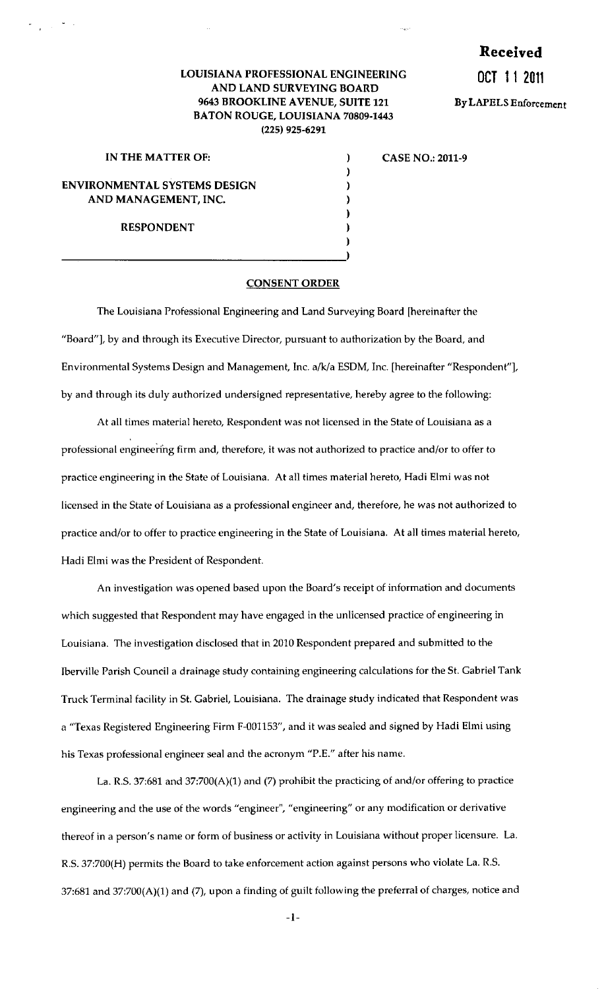## **Received**

**OCT 11 2011** 

By LAPELS Enforcement

## LOUISIANA PROFESSIONAL ENGINEERING AND LAND SURVEYING BOARD 9643 BROOKLINE A VENUE, SUITE 121 BATON ROUGE, LOUISIANA 70809-1443 (225) 925-6291

 $\mathbf{)}$ ) ) ) ) ) )

| IN THE MATTER OF:                                    |  |
|------------------------------------------------------|--|
| ENVIRONMENTAL SYSTEMS DESIGN<br>AND MANAGEMENT, INC. |  |
| <b>RESPONDENT</b>                                    |  |

 $\frac{1}{2}$  ,  $\frac{1}{2}$  ,  $\frac{1}{2}$  ,  $\frac{1}{2}$ 

 $\frac{1}{2}$ 

CASE NO.: 2011-9

## CONSENT ORDER

The Louisiana Professional Engineering and Land Surveying Board [hereinafter the "Board"], by and through its Executive Director, pursuant to authorization by the Board, and Environmental Systems Design and Management, Inc. a/k/a ESDM, Inc. [hereinafter "Respondent"], by and through its duly authorized undersigned representative, hereby agree to the following:

At all times material hereto, Respondent was not licensed in the State of Louisiana as a professional engineering firm and, therefore, it was not authorized to practice and/or to offer to practice engineering in the State of Louisiana. At all times material hereto, Hadi Elmi was not licensed in the State of Louisiana as a professional engineer and, therefore, he was not authorized to practice and/or to offer to practice engineering in the State of Louisiana. At all times material hereto, Hadi Elmi was the President of Respondent.

An investigation was opened based upon the Board's receipt of information and documents which suggested that Respondent may have engaged in the unlicensed practice of engineering in Louisiana. The investigation disclosed that in 2010 Respondent prepared and submitted to the Iberville Parish Council a drainage study containing engineering calculations for the St. Gabriel Tank Truck Terminal facility in St. Gabriel, Louisiana. The drainage study indicated that Respondent was a "Texas Registered Engineering Firm F-001153", and it was sealed and signed by Hadi Elmi using his Texas professional engineer seal and the acronym "P.E." after his name.

La. R.S. 37:681 and 37:700(A)(l) and (7) prohibit the practicing of and/or offering to practice engineering and the use of the words "engineer", "engineering" or any modification or derivative thereof in a person's name or form of business or activity in Louisiana without proper licensure. La. R.S. 37:700(H) permits the Board to take enforcement action against persons who violate La. R.S. 37:681 and 37:700(A)(l) and (7), upon a finding of guilt following the preferral of charges, notice and

-I-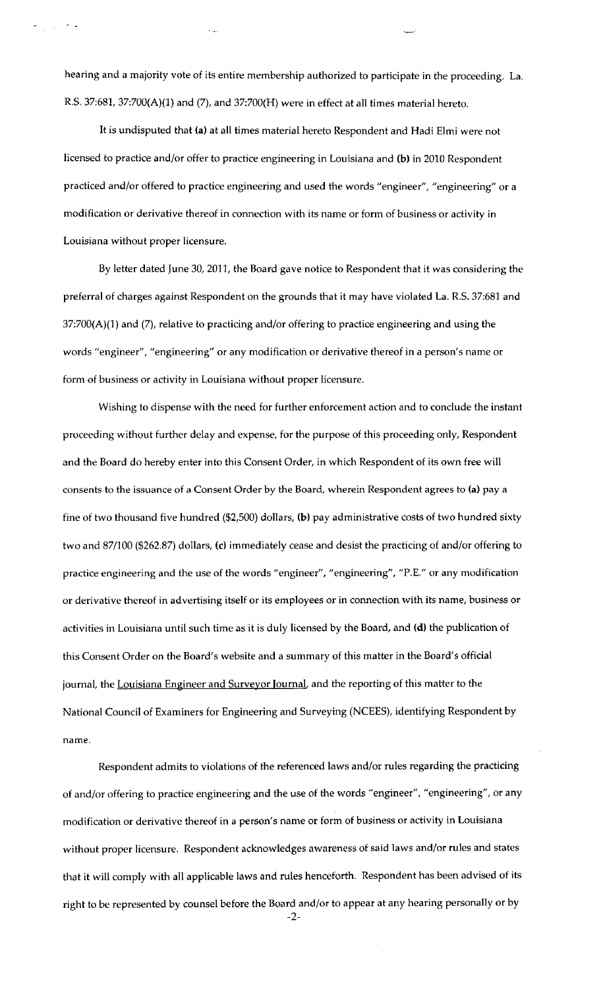hearing and a majority vote of its entire membership authorized to participate in the proceeding. La. R.S. 37:681, 37:700(A)(1) and (7), and 37:700(H) were in effect at all times material hereto.

It is undisputed that (a) at all times material hereto Respondent and Hadi Elmi were not licensed to practice and/or offer to practice engineering in Louisiana and (b) in 2010 Respondent practiced and/or offered to practice engineering and used the words "engineer", "engineering" or a modification or derivative thereof in connection with its name or form of business or activity in Louisiana without proper licensure.

By letter dated June 30, 2011, the Board gave notice to Respondent that it was considering the preferral of charges against Respondent on the grounds that it may have violated La. R.S. 37:681 and 37:700(A)(l) and (7), relative to practicing and/or offering to practice engineering and using the words "engineer", "engineering" or any modification or derivative thereof in a person's name or form of business or activity in Louisiana without proper licensure.

Wishing to dispense with the need for further enforcement action and to conclude the instant proceeding without further delay and expense, for the purpose of this proceeding only, Respondent and the Board do hereby enter into this Consent Order, in which Respondent of its own free will consents to the issuance of a Consent Order by the Board, wherein Respondent agrees to (a) pay a fine of two thousand five hundred (\$2,500) dollars, (b) pay administrative costs of two hundred sixty two and 87/100 (\$262.87) dollars, (c) immediately cease and desist the practicing of and/or offering to practice engineering and the use of the words "engineer", "engineering", "P.E." or any modification or derivative thereof in advertising itself or its employees or in connection with its name, business or activities in Louisiana until such time as it is duly licensed by the Board, and (d) the publication of this Consent Order on the Board's website and a summary of this matter in the Board's official journal, the Louisiana Engineer and Surveyor Journal, and the reporting of this matter to the National Council of Examiners for Engineering and Surveying (NCEES), identifying Respondent by **name.** 

Respondent admits to violations of the referenced laws and/or rules regarding the practicing of and/or offering to practice engineering and the use of the words "engineer", "engineering", or any modification or derivative thereof in a person's name or form of business or activity in Louisiana without proper licensure. Respondent acknowledges awareness of said laws and/or rules and states that it will comply with all applicable laws and rules henceforth. Respondent has been advised of its right to be represented by counsel before the Board and/or to appear at any hearing personally or by

-2-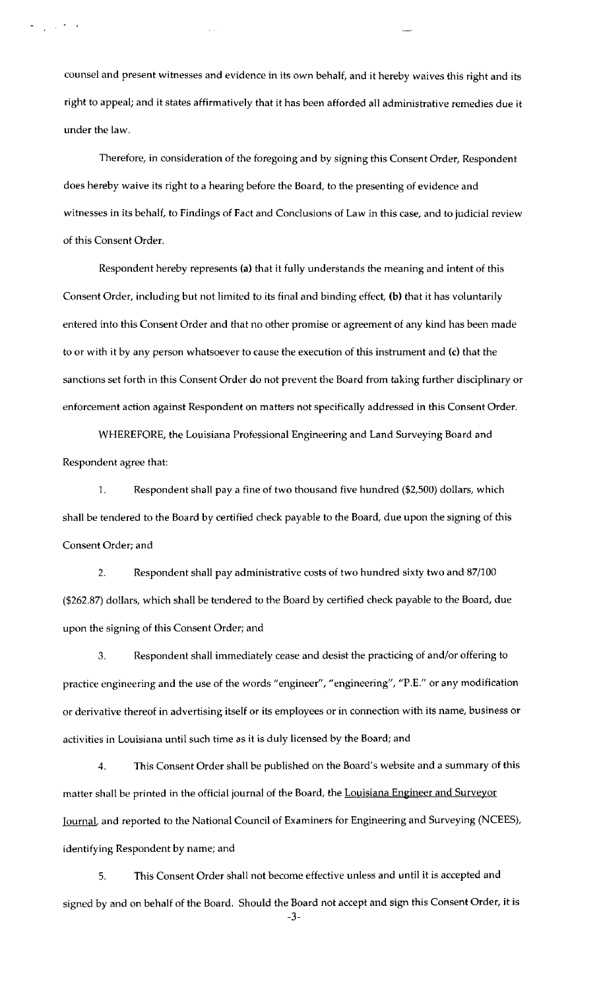counsel and present witnesses and evidence in its own behalf, and it hereby waives this right and its right to appeal; and it states affirmatively that it has been afforded all administrative remedies due it under the law.

 $\sim$   $\sim$ 

Therefore, in consideration of the foregoing and by signing this Consent Order, Respondent does hereby waive its right to a hearing before the Board, to the presenting of evidence and witnesses in its behalf, to Findings of Fact and Conclusions of Law in this case, and to judicial review of this Consent Order.

Respondent hereby represents (a) that it fully understands the meaning and intent of this Consent Order, including but not limited to its final and binding effect, (b) that it has voluntarily entered into this Consent Order and that no other promise or agreement of any kind has been made to or with it by any person whatsoever to cause the execution of this instrument and (c) that the sanctions set forth in this Consent Order do not prevent the Board from taking further disciplinary or enforcement action against Respondent on matters not specifically addressed in this Consent Order.

WHEREFORE, the Louisiana Professional Engineering and Land Surveying Board and Respondent agree that:

1. Respondent shall pay a fine of two thousand five hundred (\$2,500) dollars, which shall be tendered to the Board by certified check payable to the Board, due upon the signing of this Consent Order; and

2. Respondent shall pay administrative costs of two hundred sixty two and 87/100 (\$262.87) dollars, which shall be tendered to the Board by certified check payable to the Board, due upon the signing of this Consent Order; and

3. Respondent shall immediately cease and desist the practicing of and/or offering to practice engineering and the use of the words "engineer", "engineering", "P.E." or any modification or derivative thereof in advertising itself or its employees or in connection with its name, business or activities in Louisiana until such time as it is duly licensed by the Board; and

4. This Consent Order shall be published on the Board's website and a summary of this matter shall be printed in the official journal of the Board, the Louisiana Engineer and Surveyor Journal, and reported to the National Council of Examiners for Engineering and Surveying (NCEES), identifying Respondent by name; and

5. This Consent Order shall not become effective unless and until it is accepted and signed by and on behalf of the Board. Should the Board not accept and sign this Consent Order, it is

-3-